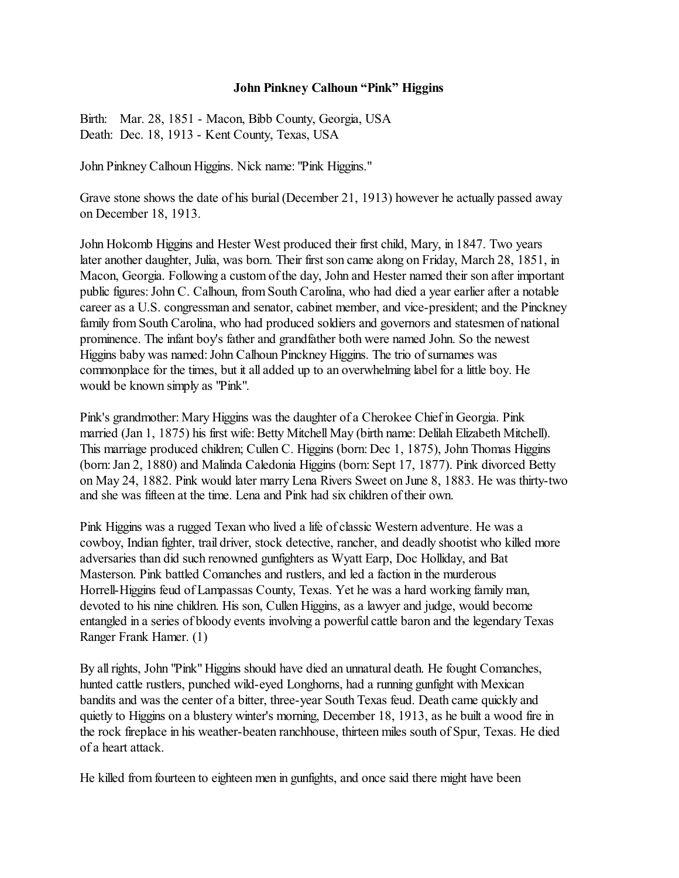## **John Pinkney Calhoun "Pink" Higgins**

Birth: Mar. 28, 1851 - Macon, Bibb County, Georgia, USA Death: Dec. 18, 1913 - Kent County, Texas, USA

John Pinkney Calhoun Higgins. Nick name: "Pink Higgins."

Grave stone shows the date of his burial (December 21, 1913) however he actually passed away on December 18, 1913.

John Holcomb Higgins and Hester West produced their first child, Mary, in 1847. Two years later another daughter, Julia, was born. Their first son came along on Friday, March 28, 1851, in Macon, Georgia. Following a custom of the day, John and Hester named their son after important public figures: John C. Calhoun, fromSouth Carolina, who had died a year earlier after a notable career as a U.S. congressman and senator, cabinet member, and vice-president; and the Pinckney family from South Carolina, who had produced soldiers and governors and statesmen of national prominence. The infant boy's father and grandfather both were named John. So the newest Higgins baby was named:John Calhoun Pinckney Higgins. The trio of surnames was commonplace for the times, but it all added up to an overwhelming label for a little boy. He would be known simply as "Pink".

Pink's grandmother: Mary Higgins was the daughter of a Cherokee Chief in Georgia. Pink married (Jan 1, 1875) his first wife: Betty Mitchell May (birth name: Delilah Elizabeth Mitchell). This marriage produced children; Cullen C. Higgins (born: Dec 1, 1875), John Thomas Higgins (born: Jan 2, 1880) and Malinda Caledonia Higgins (born: Sept 17, 1877). Pink divorced Betty on May 24, 1882. Pink would later marry Lena Rivers Sweet on June 8, 1883. He was thirty-two and she was fifteen at the time. Lena and Pink had six children oftheir own.

Pink Higgins was a rugged Texan who lived a life of classic Western adventure. He was a cowboy, Indian fighter, trail driver, stock detective, rancher, and deadly shootist who killed more adversaries than did such renowned gunfighters as Wyatt Earp, Doc Holliday, and Bat Masterson. Pink battled Comanches and rustlers, and led a faction in the murderous Horrell-Higgins feud of Lampassas County, Texas. Yet he was a hard working family man, devoted to his nine children. His son, Cullen Higgins, as a lawyer and judge, would become entangled in a series of bloody events involving a powerful cattle baron and the legendary Texas Ranger Frank Hamer. (1)

By all rights, John "Pink" Higgins should have died an unnatural death. He fought Comanches, hunted cattle rustlers, punched wild-eyed Longhorns, had a running gunfight with Mexican bandits and was the center of a bitter, three-year South Texas feud. Death came quickly and quietly to Higgins on a blustery winter's morning, December 18, 1913, as he built a wood fire in the rock fireplace in his weather-beaten ranchhouse, thirteen miles south of Spur, Texas. He died of a heart attack.

He killed from fourteen to eighteen men in gunfights, and once said there might have been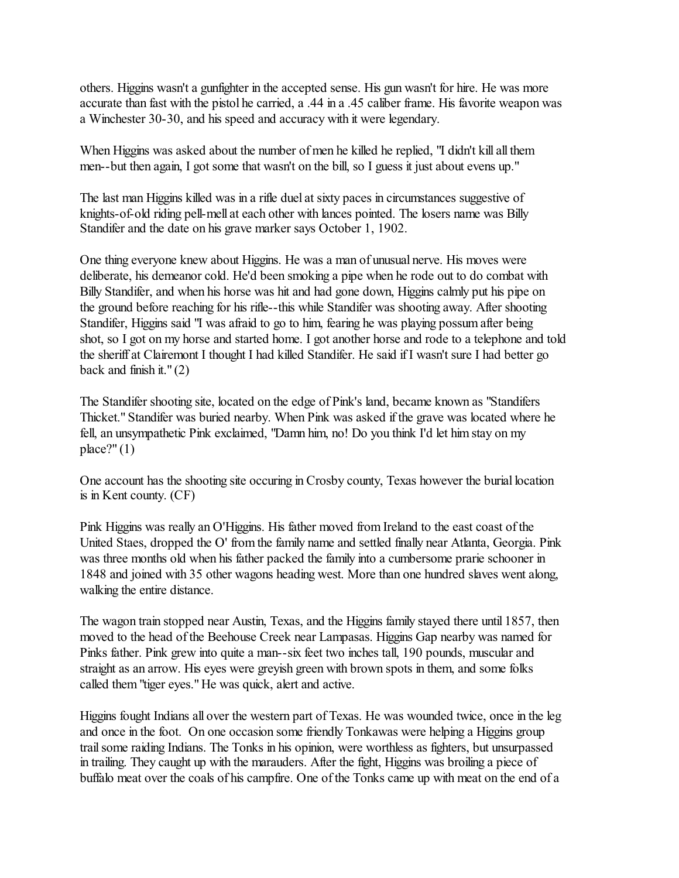others. Higgins wasn't a gunfighter in the accepted sense. His gun wasn't for hire. He was more accurate than fast with the pistol he carried, a .44 in a .45 caliber frame. His favorite weapon was a Winchester 30-30, and his speed and accuracy with it were legendary.

When Higgins was asked about the number of men he killed he replied, "I didn't kill all them men--but then again, I got some that wasn't on the bill, so I guess it just about evens up."

The last man Higgins killed was in a rifle duel at sixty paces in circumstances suggestive of knights-of-old riding pell-mell at each other with lances pointed. The losers name was Billy Standifer and the date on his grave marker says October 1, 1902.

One thing everyone knew about Higgins. He was a man of unusual nerve. His moves were deliberate, his demeanor cold. He'd been smoking a pipe when he rode out to do combat with Billy Standifer, and when his horse was hit and had gone down, Higgins calmly put his pipe on the ground before reaching for his rifle--this while Standifer was shooting away. After shooting Standifer, Higgins said "I was afraid to go to him, fearing he was playing possum after being shot, so I got on my horse and started home. I got another horse and rode to a telephone and told the sheriff at Clairemont I thought I had killed Standifer. He said ifI wasn't sure I had better go back and finish it." $(2)$ 

The Standifer shooting site, located on the edge of Pink's land, became known as "Standifers Thicket." Standifer was buried nearby. When Pink was asked if the grave was located where he fell, an unsympathetic Pink exclaimed, "Damn him, no! Do you think I'd let him stay on my  $place?"(1)$ 

One account has the shooting site occuring in Crosby county, Texas however the burial location is in Kent county. (CF)

Pink Higgins was really an O'Higgins. His father moved from Ireland to the east coast of the United Staes, dropped the O' from the family name and settled finally near Atlanta, Georgia. Pink was three months old when his father packed the family into a cumbersome prarie schooner in 1848 and joined with 35 other wagons heading west. More than one hundred slaves went along, walking the entire distance.

The wagon train stopped near Austin, Texas, and the Higgins family stayed there until 1857, then moved to the head of the Beehouse Creek near Lampasas. Higgins Gap nearby was named for Pinks father. Pink grew into quite a man--six feet two inches tall, 190 pounds, muscular and straight as an arrow. His eyes were greyish green with brown spots in them, and some folks called them "tiger eyes." He was quick, alert and active.

Higgins fought Indians all over the western part of Texas. He was wounded twice, once in the leg and once in the foot. On one occasion some friendly Tonkawas were helping a Higgins group trail some raiding Indians. The Tonks in his opinion, were worthless as fighters, but unsurpassed in trailing. They caught up with the marauders. After the fight, Higgins was broiling a piece of buffalo meat over the coals of his campfire. One of the Tonks came up with meat on the end of a